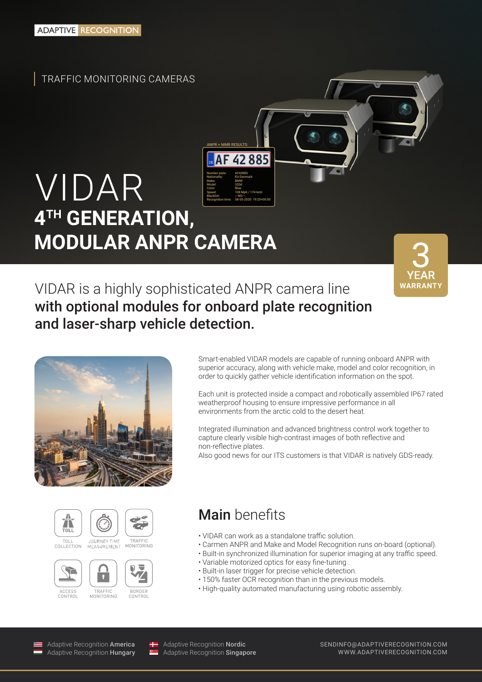TRAFFIC MONITORING CAMERAS

#### VIDAR **4TH GENERATION, MODULAR ANPR CAMERA** Number plate: AF42885 Nationality: EU-Denmark Make: BMW Model: 320d Color: Blue Speed: 108 Mph / 174 kmh Blacklist: ---NO---Recognition time: 08-03-2020 19:20+00:00

**WARRANT** 

VIDAR is a highly sophisticated ANPR camera line with optional modules for onboard plate recognition and laser-sharp vehicle detection.

ANPR + MMR RESULTS:

42885





**ACCESS** CONTROL













MONITORING



CONTROL

• Built-in synchronized illumination for superior imaging at any traffic speed. • Variable motorized optics for easy fine-tuning .

Main benefits

non-reflective plates.

• Built-in laser trigger for precise vehicle detection.

• VIDAR can work as a standalone traffic solution.

- 150% faster OCR recognition than in the previous models.
- High-quality automated manufacturing using robotic assembly.

Smart-enabled VIDAR models are capable of running onboard ANPR with superior accuracy, along with vehicle make, model and color recognition, in order to quickly gather vehicle identification information on the spot.

Each unit is protected inside a compact and robotically assembled IP67 rated

Integrated illumination and advanced brightness control work together to capture clearly visible high-contrast images of both reflective and

Also good news for our ITS customers is that VIDAR is natively GDS-ready.

• Carmen ANPR and Make and Model Recognition runs on-board (optional).

weatherproof housing to ensure impressive performance in all

environments from the arctic cold to the desert heat.

Adaptive Recognition America Adaptive Recognition Hungary

Adaptive Recognition Nordic Adaptive Recognition **Singapore**  SENDINFO@ADAPTIVERECOGNITION.COM WWW.ADAPTIVERECOGNITION.COM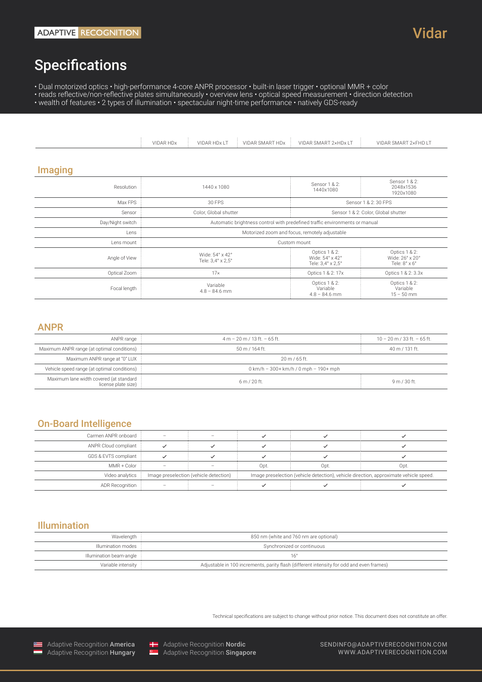# Specifications

• Dual motorized optics • high-performance 4-core ANPR processor • built-in laser trigger • optional MMR + color

• reads reflective/non-reflective plates simultaneously • overview lens • optical speed measurement • direction detection • wealth of features • 2 types of illumination • spectacular night-time performance • natively GDS-ready

|                                             | VIDAR HDx<br>VIDAR HDx LT<br><b>VIDAR SMART HDx</b>                         | VIDAR SMART 2xHDx IT                         | VIDAR SMART 2xFHD IT                              |  |
|---------------------------------------------|-----------------------------------------------------------------------------|----------------------------------------------|---------------------------------------------------|--|
| <b>Imaging</b>                              |                                                                             |                                              |                                                   |  |
| Resolution                                  | 1440 x 1080                                                                 | Sensor 1 & 2:<br>1440x1080                   | Sensor 1 & 2:<br>2048x1536<br>1920x1080           |  |
| Max FPS                                     | 30 FPS                                                                      |                                              | Sensor 1 & 2:30 FPS                               |  |
| Sensor                                      | Color, Global shutter                                                       |                                              | Sensor 1 & 2: Color, Global shutter               |  |
| Day/Night switch                            | Automatic brightness control with predefined traffic environments or manual |                                              |                                                   |  |
| Lens                                        | Motorized zoom and focus, remotely adjustable                               |                                              |                                                   |  |
| Lens mount                                  | Custom mount                                                                |                                              |                                                   |  |
| Angle of View                               | Wide: 54° x 42°<br>Tele: 3,4° x 2,5°                                        |                                              | Optics 1 & 2:<br>Wide: 26° x 20°<br>Tele: 8° x 6° |  |
| Optical Zoom                                | $17\times$                                                                  | Optics 1 & 2: 17x                            | Optics 1 & 2: 3.3x                                |  |
| Variable<br>Focal length<br>$4.8 - 84.6$ mm |                                                                             | Optics 1 & 2:<br>Variable<br>$4.8 - 84.6$ mm | Optics 1 & 2:<br>Variable<br>$15 - 50$ mm         |  |

### ANPR

| ANPR range                                                     | $4 m - 20 m / 13 ft. - 65 ft.$                  | $10 - 20$ m / 33 ft. - 65 ft. |
|----------------------------------------------------------------|-------------------------------------------------|-------------------------------|
| Maximum ANPR range (at optimal conditions)                     | 50 m / 164 ft.                                  | $40 \text{ m}$ / 131 ft.      |
| Maximum ANPR range at "0" LUX :                                | 20 m / 65 ft.                                   |                               |
| Vehicle speed range (at optimal conditions) :                  | $0 \text{ km/h}$ – 300+ km/h / 0 mph – 190+ mph |                               |
| Maximum lane width covered (at standard<br>license plate size) | 6m/20ft                                         | 9m/30ft.                      |

### On-Board Intelligence

| Carmen ANPR onboard    |                                        |  |      |      |                                                                                       |
|------------------------|----------------------------------------|--|------|------|---------------------------------------------------------------------------------------|
| ANPR Cloud compliant : |                                        |  |      |      |                                                                                       |
| GDS & EVTS compliant : |                                        |  |      |      |                                                                                       |
| MMR + Color            | $\sim$                                 |  | Opt. | Opt. | Opt.                                                                                  |
| Video analytics        | Image preselection (vehicle detection) |  |      |      | Image preselection (vehicle detection), vehicle direction, approximate vehicle speed. |
| ADR Recognition        |                                        |  |      |      |                                                                                       |

## Illumination

| Wavelength :            | 850 nm (white and 760 nm are optional)                                                   |  |
|-------------------------|------------------------------------------------------------------------------------------|--|
| Illumination modes      | Synchronized or continuous                                                               |  |
| Illumination beam-angle |                                                                                          |  |
| Variable intensity :    | Adjustable in 100 increments, parity flash (different intensity for odd and even frames) |  |

Technical specifications are subject to change without prior notice. This document does not constitute an offer.





**Adaptive Recognition Nordic**<br> **Adaptive Recognition Singapo** Adaptive Recognition Singapore SENDINFO@ADAPTIVERECOGNITION.COM WWW.ADAPTIVERECOGNITION.COM